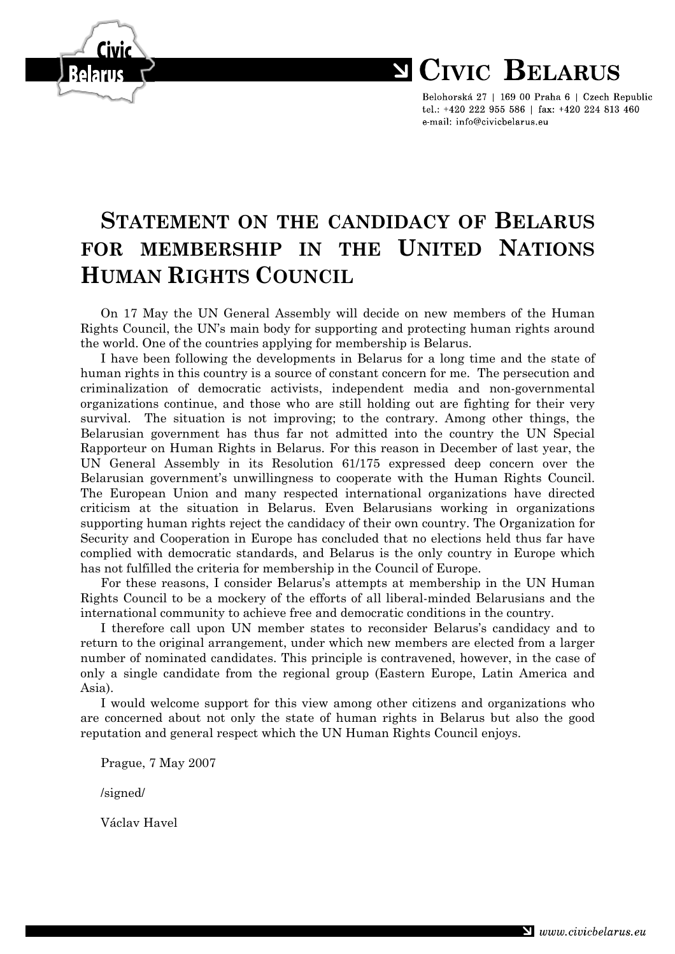

Belohorská 27 | 169 00 Praha 6 | Czech Republic tel.: +420 222 955 586 | fax: +420 224 813 460 e-mail: info@civicbelarus.eu

## **STATEMENT ON THE CANDIDACY OF BELARUS FOR MEMBERSHIP IN THE UNITED NATIONS HUMAN RIGHTS COUNCIL**

On 17 May the UN General Assembly will decide on new members of the Human Rights Council, the UN's main body for supporting and protecting human rights around the world. One of the countries applying for membership is Belarus.

I have been following the developments in Belarus for a long time and the state of human rights in this country is a source of constant concern for me. The persecution and criminalization of democratic activists, independent media and non-governmental organizations continue, and those who are still holding out are fighting for their very survival. The situation is not improving; to the contrary. Among other things, the Belarusian government has thus far not admitted into the country the UN Special Rapporteur on Human Rights in Belarus. For this reason in December of last year, the UN General Assembly in its Resolution 61/175 expressed deep concern over the Belarusian government's unwillingness to cooperate with the Human Rights Council. The European Union and many respected international organizations have directed criticism at the situation in Belarus. Even Belarusians working in organizations supporting human rights reject the candidacy of their own country. The Organization for Security and Cooperation in Europe has concluded that no elections held thus far have complied with democratic standards, and Belarus is the only country in Europe which has not fulfilled the criteria for membership in the Council of Europe.

For these reasons, I consider Belarus's attempts at membership in the UN Human Rights Council to be a mockery of the efforts of all liberal-minded Belarusians and the international community to achieve free and democratic conditions in the country.

I therefore call upon UN member states to reconsider Belarus's candidacy and to return to the original arrangement, under which new members are elected from a larger number of nominated candidates. This principle is contravened, however, in the case of only a single candidate from the regional group (Eastern Europe, Latin America and Asia).

I would welcome support for this view among other citizens and organizations who are concerned about not only the state of human rights in Belarus but also the good reputation and general respect which the UN Human Rights Council enjoys.

Prague, 7 May 2007

/signed/

Václav Havel